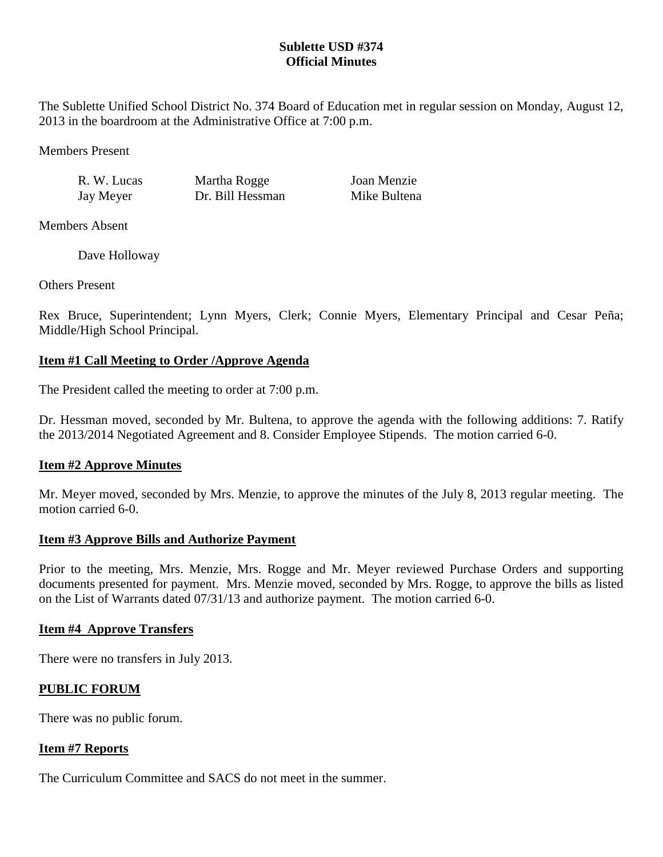## **Sublette USD #374 Official Minutes**

The Sublette Unified School District No. 374 Board of Education met in regular session on Monday, August 12, 2013 in the boardroom at the Administrative Office at 7:00 p.m.

Members Present

R. W. Lucas Martha Rogge Joan Menzie Jay Meyer Dr. Bill Hessman Mike Bultena

Members Absent

Dave Holloway

Others Present

Rex Bruce, Superintendent; Lynn Myers, Clerk; Connie Myers, Elementary Principal and Cesar Peña; Middle/High School Principal.

# **Item #1 Call Meeting to Order /Approve Agenda**

The President called the meeting to order at 7:00 p.m.

Dr. Hessman moved, seconded by Mr. Bultena, to approve the agenda with the following additions: 7. Ratify the 2013/2014 Negotiated Agreement and 8. Consider Employee Stipends. The motion carried 6-0.

# **Item #2 Approve Minutes**

Mr. Meyer moved, seconded by Mrs. Menzie, to approve the minutes of the July 8, 2013 regular meeting. The motion carried 6-0

## **Item #3 Approve Bills and Authorize Payment**

Prior to the meeting, Mrs. Menzie, Mrs. Rogge and Mr. Meyer reviewed Purchase Orders and supporting documents presented for payment. Mrs. Menzie moved, seconded by Mrs. Rogge, to approve the bills as listed on the List of Warrants dated 07/31/13 and authorize payment. The motion carried 6-0.

# **Item #4 Approve Transfers**

There were no transfers in July 2013.

# **PUBLIC FORUM**

There was no public forum.

## **Item #7 Reports**

The Curriculum Committee and SACS do not meet in the summer.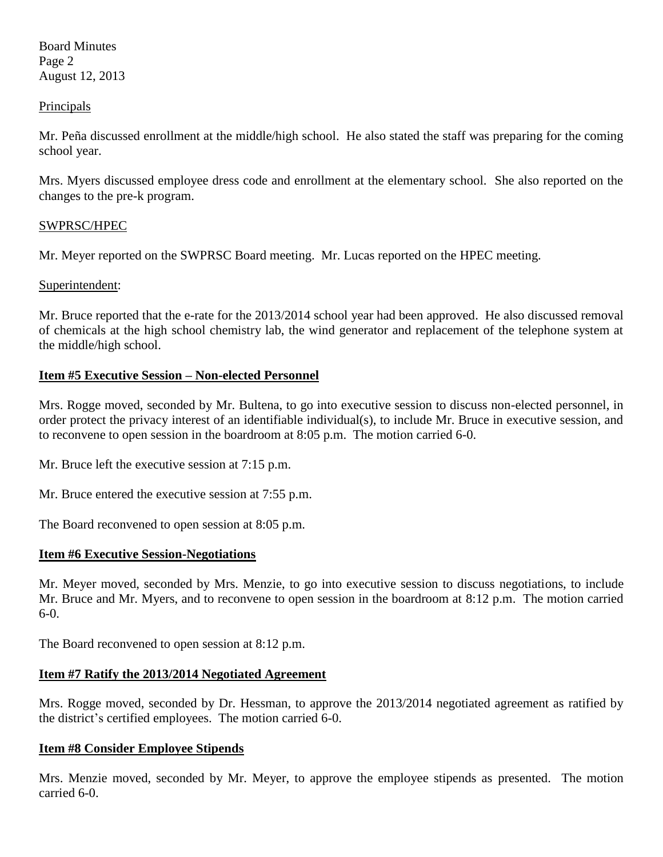Board Minutes Page 2 August 12, 2013

### **Principals**

Mr. Peña discussed enrollment at the middle/high school. He also stated the staff was preparing for the coming school year.

Mrs. Myers discussed employee dress code and enrollment at the elementary school. She also reported on the changes to the pre-k program.

### SWPRSC/HPEC

Mr. Meyer reported on the SWPRSC Board meeting. Mr. Lucas reported on the HPEC meeting.

### Superintendent:

Mr. Bruce reported that the e-rate for the 2013/2014 school year had been approved. He also discussed removal of chemicals at the high school chemistry lab, the wind generator and replacement of the telephone system at the middle/high school.

### **Item #5 Executive Session – Non-elected Personnel**

Mrs. Rogge moved, seconded by Mr. Bultena, to go into executive session to discuss non-elected personnel, in order protect the privacy interest of an identifiable individual(s), to include Mr. Bruce in executive session, and to reconvene to open session in the boardroom at 8:05 p.m. The motion carried 6-0.

Mr. Bruce left the executive session at 7:15 p.m.

Mr. Bruce entered the executive session at 7:55 p.m.

The Board reconvened to open session at 8:05 p.m.

### **Item #6 Executive Session-Negotiations**

Mr. Meyer moved, seconded by Mrs. Menzie, to go into executive session to discuss negotiations, to include Mr. Bruce and Mr. Myers, and to reconvene to open session in the boardroom at 8:12 p.m. The motion carried 6-0.

The Board reconvened to open session at 8:12 p.m.

### **Item #7 Ratify the 2013/2014 Negotiated Agreement**

Mrs. Rogge moved, seconded by Dr. Hessman, to approve the 2013/2014 negotiated agreement as ratified by the district's certified employees. The motion carried 6-0.

### **Item #8 Consider Employee Stipends**

Mrs. Menzie moved, seconded by Mr. Meyer, to approve the employee stipends as presented. The motion carried 6-0.